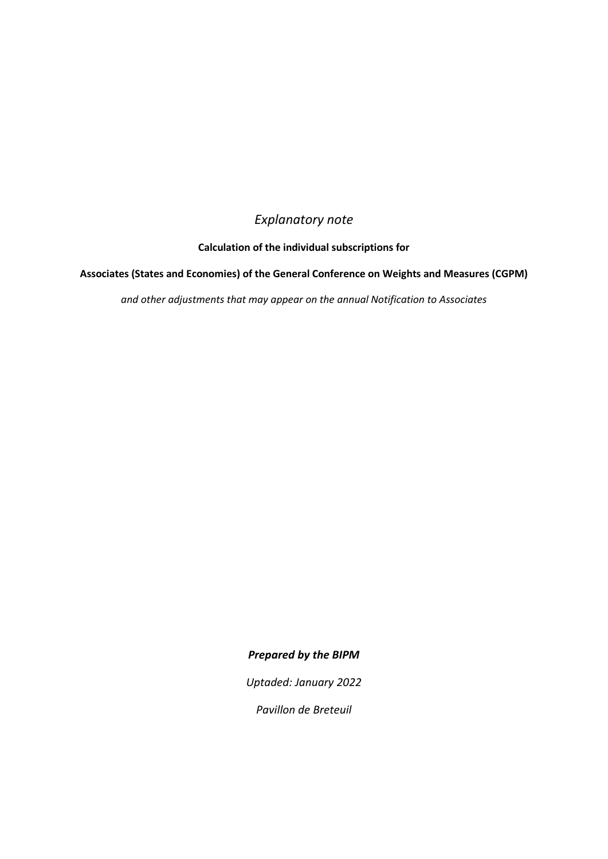# *Explanatory note*

**Calculation of the individual subscriptions for** 

### **Associates (States and Economies) of the General Conference on Weights and Measures (CGPM)**

*and other adjustments that may appear on the annual Notification to Associates*

## *Prepared by the BIPM*

*Uptaded: January 2022*

*Pavillon de Breteuil*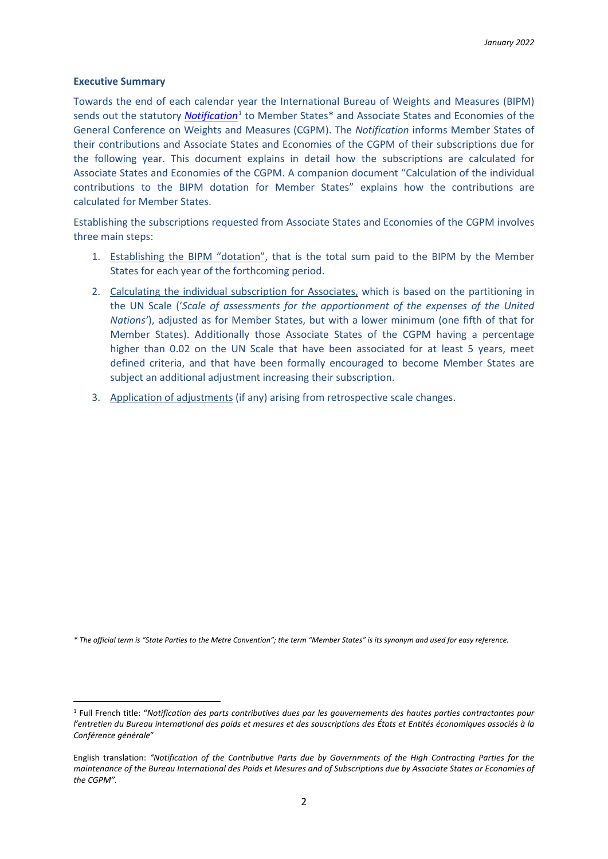#### **Executive Summary**

Towards the end of each calendar year the International Bureau of Weights and Measures (BIPM) sends out the statutory *[Notification](https://www.bipm.org/en/publications/notification)[1](#page-1-0)* to Member States\* and Associate States and Economies of the General Conference on Weights and Measures (CGPM). The *Notification* informs Member States of their contributions and Associate States and Economies of the CGPM of their subscriptions due for the following year. This document explains in detail how the subscriptions are calculated for Associate States and Economies of the CGPM. A companion document "Calculation of the individual contributions to the BIPM dotation for Member States" explains how the contributions are calculated for Member States.

Establishing the subscriptions requested from Associate States and Economies of the CGPM involves three main steps:

- 1. Establishing the BIPM "dotation", that is the total sum paid to the BIPM by the Member States for each year of the forthcoming period.
- 2. Calculating the individual subscription for Associates, which is based on the partitioning in the UN Scale ('*Scale of assessments for the apportionment of the expenses of the United Nations'*), adjusted as for Member States, but with a lower minimum (one fifth of that for Member States). Additionally those Associate States of the CGPM having a percentage higher than 0.02 on the UN Scale that have been associated for at least 5 years, meet defined criteria, and that have been formally encouraged to become Member States are subject an additional adjustment increasing their subscription.
- 3. Application of adjustments (if any) arising from retrospective scale changes.

*\* The official term is "State Parties to the Metre Convention"; the term "Member States" is its synonym and used for easy reference.*

<span id="page-1-0"></span><sup>1</sup> Full French title: "*Notification des parts contributives dues par les gouvernements des hautes parties contractantes pour l'entretien du Bureau international des poids et mesures et des souscriptions des États et Entités économiques associés à la Conférence générale*"

English translation: *"Notification of the Contributive Parts due by Governments of the High Contracting Parties for the maintenance of the Bureau International des Poids et Mesures and of Subscriptions due by Associate States or Economies of the CGPM".*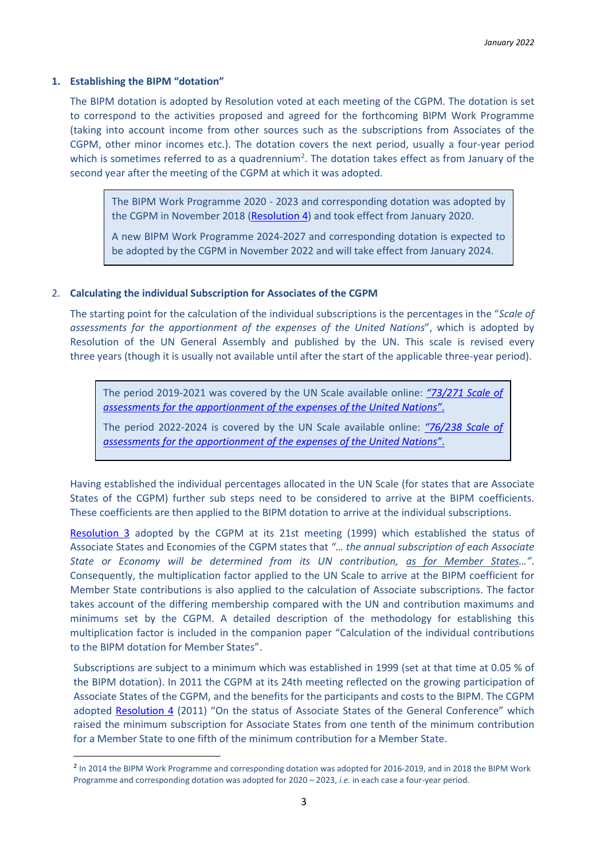#### **1. Establishing the BIPM "dotation"**

The BIPM dotation is adopted by Resolution voted at each meeting of the CGPM. The dotation is set to correspond to the activities proposed and agreed for the forthcoming BIPM Work Programme (taking into account income from other sources such as the subscriptions from Associates of the CGPM, other minor incomes etc.). The dotation covers the next period, usually a four-year period which is sometimes referred to as a quadrennium<sup>[2](#page-2-0)</sup>. The dotation takes effect as from January of the second year after the meeting of the CGPM at which it was adopted.

The BIPM Work Programme 2020 - 2023 and corresponding dotation was adopted by the CGPM in November 2018 [\(Resolution 4\)](https://www.bipm.org/en/committees/cg/cgpm/26-2018/resolution-4) and took effect from January 2020.

A new BIPM Work Programme 2024-2027 and corresponding dotation is expected to be adopted by the CGPM in November 2022 and will take effect from January 2024.

#### 2. **Calculating the individual Subscription for Associates of the CGPM**

The starting point for the calculation of the individual subscriptions is the percentages in the "*Scale of assessments for the apportionment of the expenses of the United Nations*", which is adopted by Resolution of the UN General Assembly and published by the UN. This scale is revised every three years (though it is usually not available until after the start of the applicable three-year period).

The period 2019-2021 was covered by the UN Scale available online: *["73/271 Scale of](http://undocs.org/en/A/RES/73/271)  [assessments for the apportionment of the expenses of the United Nations"](http://undocs.org/en/A/RES/73/271)*.

The period 2022-2024 is covered by the UN Scale available online: *["76/238 Scale of](https://undocs.org/en/A/RES/76/238)  [assessments for the apportionment of the expenses of the United Nations"](https://undocs.org/en/A/RES/76/238)*.

Having established the individual percentages allocated in the UN Scale (for states that are Associate States of the CGPM) further sub steps need to be considered to arrive at the BIPM coefficients. These coefficients are then applied to the BIPM dotation to arrive at the individual subscriptions.

[Resolution 3](https://www.bipm.org/en/committees/cg/cgpm/21-1999/resolution-3) adopted by the CGPM at its 21st meeting (1999) which established the status of Associate States and Economies of the CGPM states that *"… the annual subscription of each Associate State or Economy will be determined from its UN contribution, as for Member States…"*. Consequently, the multiplication factor applied to the UN Scale to arrive at the BIPM coefficient for Member State contributions is also applied to the calculation of Associate subscriptions. The factor takes account of the differing membership compared with the UN and contribution maximums and minimums set by the CGPM. A detailed description of the methodology for establishing this multiplication factor is included in the companion paper "Calculation of the individual contributions to the BIPM dotation for Member States".

Subscriptions are subject to a minimum which was established in 1999 (set at that time at 0.05 % of the BIPM dotation). In 2011 the CGPM at its 24th meeting reflected on the growing participation of Associate States of the CGPM, and the benefits for the participants and costs to the BIPM. The CGPM adopted [Resolution 4](https://www.bipm.org/en/committees/cg/cgpm/24-2011/resolution-4) (2011) "On the status of Associate States of the General Conference" which raised the minimum subscription for Associate States from one tenth of the minimum contribution for a Member State to one fifth of the minimum contribution for a Member State.

<span id="page-2-0"></span><sup>&</sup>lt;sup>2</sup> In 2014 the BIPM Work Programme and corresponding dotation was adopted for 2016-2019, and in 2018 the BIPM Work Programme and corresponding dotation was adopted for 2020 – 2023, *i.e.* in each case a four-year period.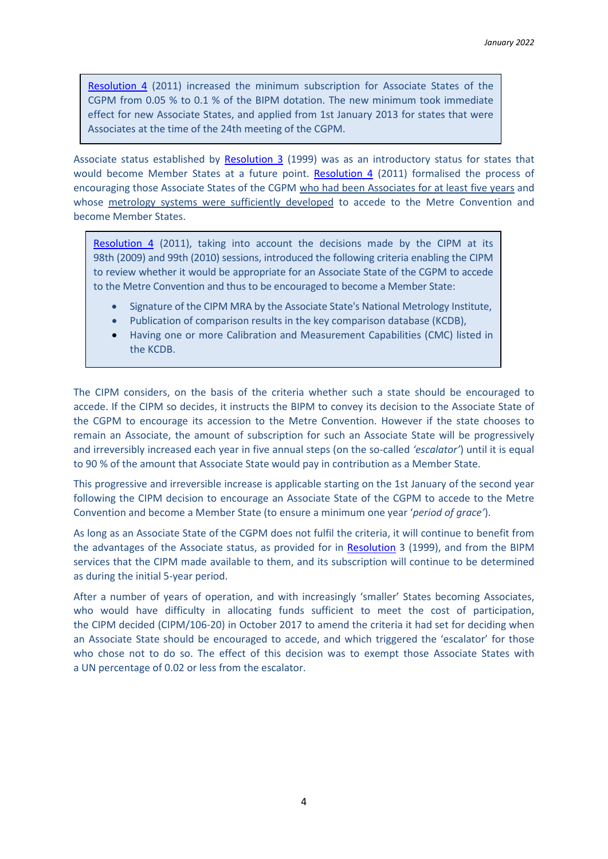[Resolution 4](https://www.bipm.org/en/committees/cg/cgpm/24-2011/resolution-4) (2011) increased the minimum subscription for Associate States of the CGPM from 0.05 % to 0.1 % of the BIPM dotation. The new minimum took immediate effect for new Associate States, and applied from 1st January 2013 for states that were Associates at the time of the 24th meeting of the CGPM.

Associate status established by [Resolution 3](https://www.bipm.org/en/committees/cg/cgpm/21-1999/resolution-3) (1999) was as an introductory status for states that would become Member States at a future point. [Resolution 4](https://www.bipm.org/en/committees/cg/cgpm/24-2011/resolution-4) (2011) formalised the process of encouraging those Associate States of the CGPM who had been Associates for at least five years and whose metrology systems were sufficiently developed to accede to the Metre Convention and become Member States.

[Resolution](https://www.bipm.org/en/committees/cg/cgpm/24-2011/resolution-4) 4 (2011), taking into account the decisions made by the CIPM at its 98th (2009) and 99th (2010) sessions, introduced the following criteria enabling the CIPM to review whether it would be appropriate for an Associate State of the CGPM to accede to the Metre Convention and thus to be encouraged to become a Member State:

- Signature of the CIPM MRA by the Associate State's National Metrology Institute,
- Publication of comparison results in the key comparison database (KCDB),
- Having one or more Calibration and Measurement Capabilities (CMC) listed in the KCDB.

The CIPM considers, on the basis of the criteria whether such a state should be encouraged to accede. If the CIPM so decides, it instructs the BIPM to convey its decision to the Associate State of the CGPM to encourage its accession to the Metre Convention. However if the state chooses to remain an Associate, the amount of subscription for such an Associate State will be progressively and irreversibly increased each year in five annual steps (on the so-called *'escalator'*) until it is equal to 90 % of the amount that Associate State would pay in contribution as a Member State.

This progressive and irreversible increase is applicable starting on the 1st January of the second year following the CIPM decision to encourage an Associate State of the CGPM to accede to the Metre Convention and become a Member State (to ensure a minimum one year '*period of grace'*).

As long as an Associate State of the CGPM does not fulfil the criteria, it will continue to benefit from the advantages of the Associate status, as provided for in [Resolution](https://www.bipm.org/en/committees/cg/cgpm/21-1999/resolution-3) 3 (1999), and from the BIPM services that the CIPM made available to them, and its subscription will continue to be determined as during the initial 5-year period.

After a number of years of operation, and with increasingly 'smaller' States becoming Associates, who would have difficulty in allocating funds sufficient to meet the cost of participation, the CIPM decided (CIPM/106-20) in October 2017 to amend the criteria it had set for deciding when an Associate State should be encouraged to accede, and which triggered the 'escalator' for those who chose not to do so. The effect of this decision was to exempt those Associate States with a UN percentage of 0.02 or less from the escalator.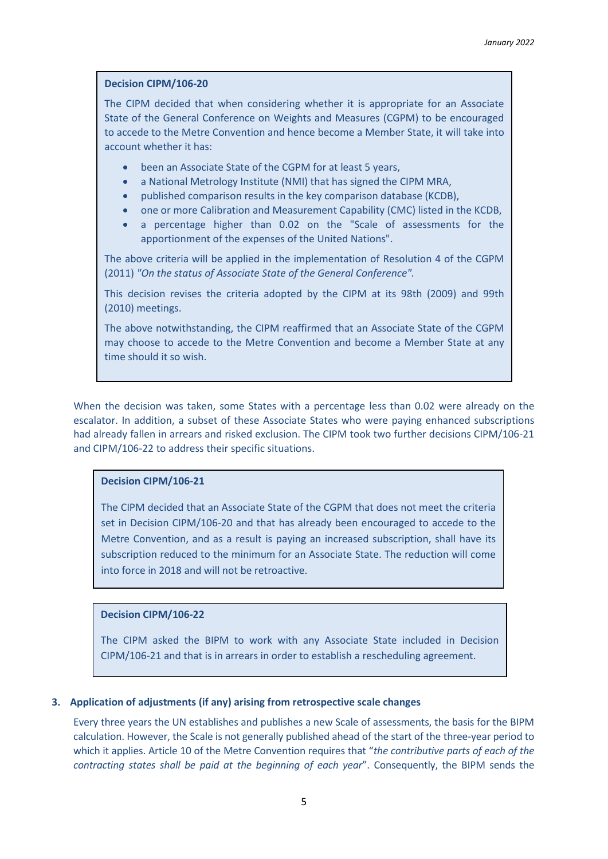#### **Decision CIPM/106-20**

The CIPM decided that when considering whether it is appropriate for an Associate State of the General Conference on Weights and Measures (CGPM) to be encouraged to accede to the Metre Convention and hence become a Member State, it will take into account whether it has:

- been an Associate State of the CGPM for at least 5 years,
- a National Metrology Institute (NMI) that has signed the CIPM MRA,
- published comparison results in the key comparison database (KCDB),
- one or more Calibration and Measurement Capability (CMC) listed in the KCDB,
- a percentage higher than 0.02 on the "Scale of assessments for the apportionment of the expenses of the United Nations".

The above criteria will be applied in the implementation of Resolution 4 of the CGPM (2011) *"On the status of Associate State of the General Conference".*

This decision revises the criteria adopted by the CIPM at its 98th (2009) and 99th (2010) meetings.

The above notwithstanding, the CIPM reaffirmed that an Associate State of the CGPM may choose to accede to the Metre Convention and become a Member State at any time should it so wish.

When the decision was taken, some States with a percentage less than 0.02 were already on the escalator. In addition, a subset of these Associate States who were paying enhanced subscriptions had already fallen in arrears and risked exclusion. The CIPM took two further decisions CIPM/106-21 and CIPM/106-22 to address their specific situations.

#### **Decision CIPM/106-21**

The CIPM decided that an Associate State of the CGPM that does not meet the criteria set in Decision CIPM/106-20 and that has already been encouraged to accede to the Metre Convention, and as a result is paying an increased subscription, shall have its subscription reduced to the minimum for an Associate State. The reduction will come into force in 2018 and will not be retroactive.

#### **Decision CIPM/106-22**

The CIPM asked the BIPM to work with any Associate State included in Decision CIPM/106-21 and that is in arrears in order to establish a rescheduling agreement.

#### **3. Application of adjustments (if any) arising from retrospective scale changes**

Every three years the UN establishes and publishes a new Scale of assessments, the basis for the BIPM calculation. However, the Scale is not generally published ahead of the start of the three-year period to which it applies. Article 10 of the Metre Convention requires that "*the contributive parts of each of the contracting states shall be paid at the beginning of each year*". Consequently, the BIPM sends the